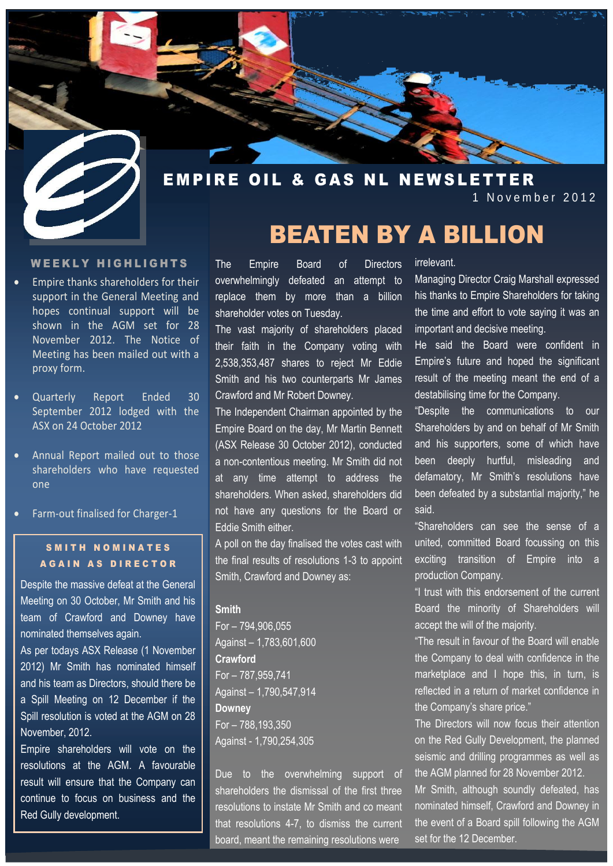

1 November 2012

#### WEEKLY HIGHLIGHTS

- Empire thanks shareholders for their support in the General Meeting and hopes continual support will be shown in the AGM set for 28 November 2012. The Notice of Meeting has been mailed out with a proxy form.
- Quarterly Report Ended 30 September 2012 lodged with the ASX on 24 October 2012
- Annual Report mailed out to those shareholders who have requested one
- Farm-out finalised for Charger-1

# S M I T H N O M I N A T E S **AGAIN AS DIRECTOR**

Despite the massive defeat at the General Meeting on 30 October, Mr Smith and his team of Crawford and Downey have nominated themselves again.

As per todays ASX Release (1 November 2012) Mr Smith has nominated himself and his team as Directors, should there be a Spill Meeting on 12 December if the Spill resolution is voted at the AGM on 28 November, 2012.

Empire shareholders will vote on the resolutions at the AGM. A favourable result will ensure that the Company can continue to focus on business and the Red Gully development.

The Empire Board of Directors overwhelmingly defeated an attempt to replace them by more than a billion shareholder votes on Tuesday.

The vast majority of shareholders placed their faith in the Company voting with 2,538,353,487 shares to reject Mr Eddie Smith and his two counterparts Mr James Crawford and Mr Robert Downey.

The Independent Chairman appointed by the Empire Board on the day, Mr Martin Bennett (ASX Release 30 October 2012), conducted a non-contentious meeting. Mr Smith did not at any time attempt to address the shareholders. When asked, shareholders did not have any questions for the Board or Eddie Smith either.

A poll on the day finalised the votes cast with the final results of resolutions 1-3 to appoint Smith, Crawford and Downey as:

#### **Smith**

For – 794,906,055 Against – 1,783,601,600 **Crawford** For – 787,959,741 Against – 1,790,547,914 **Downey** For – 788,193,350 Against - 1,790,254,305

Due to the overwhelming support of shareholders the dismissal of the first three resolutions to instate Mr Smith and co meant that resolutions 4-7, to dismiss the current board, meant the remaining resolutions were

irrelevant.

BEATEN BY A BILLION

Managing Director Craig Marshall expressed his thanks to Empire Shareholders for taking the time and effort to vote saying it was an important and decisive meeting.

He said the Board were confident in Empire's future and hoped the significant result of the meeting meant the end of a destabilising time for the Company.

"Despite the communications to our Shareholders by and on behalf of Mr Smith and his supporters, some of which have been deeply hurtful, misleading and defamatory, Mr Smith's resolutions have been defeated by a substantial majority," he said.

"Shareholders can see the sense of a united, committed Board focussing on this exciting transition of Empire into a production Company.

"I trust with this endorsement of the current Board the minority of Shareholders will accept the will of the majority.

"The result in favour of the Board will enable the Company to deal with confidence in the marketplace and I hope this, in turn, is reflected in a return of market confidence in the Company's share price."

The Directors will now focus their attention on the Red Gully Development, the planned seismic and drilling programmes as well as the AGM planned for 28 November 2012. Mr Smith, although soundly defeated, has nominated himself, Crawford and Downey in the event of a Board spill following the AGM set for the 12 December.